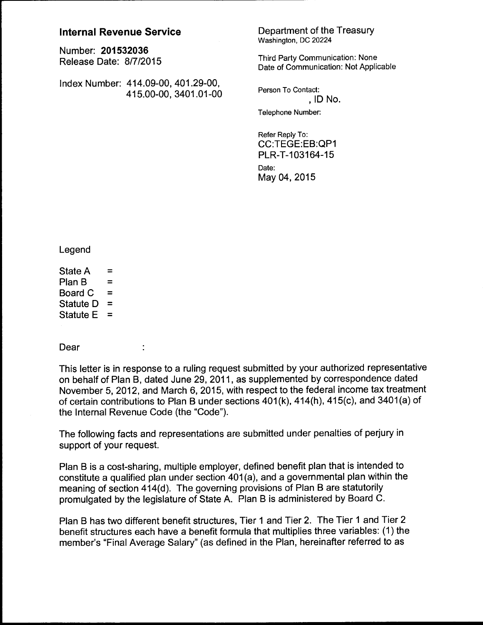# **Internal Revenue Service**

Numbe~ **201532036**  Release Date: 8/7/2015

Index Number: 414.09-00, 401.29-00, 415.00-00, 3401.01-00

 $\ddot{\phantom{a}}$ 

Department of the Treasury Washington, DC 20224

Third Party Communication: None Date of Communication: Not Applicable

Person To Contact: , ID No. Telephone Number:

Refer Reply To: CC:TEGE:EB:QP1 PLR-T-103164-15 Date: May 04, 2015

Legend

State A =  $P$  =  $P$ Plan B = Board C Statute  $D =$ Statute  $E =$ 

Dear

This letter is in response to a ruling request submitted by your authorized representative on behalf of Plan B, dated June 29, 2011, as supplemented by correspondence dated November 5, 2012, and March 6, 2015, with respect to the federal income tax treatment of certain contributions to Plan B under sections 401(k), 414(h), 415(c), and 3401(a) of the Internal Revenue Code (the "Code").

The following facts and representations are submitted under penalties of perjury in support of your request.

Plan B is a cost-sharing, multiple employer, defined benefit plan that is intended to constitute a qualified plan under section 401 (a), and a governmental plan within the meaning of section 414(d). The governing provisions of Plan B are statutorily promulgated by the legislature of State A. Plan B is administered by Board C.

Plan B has two different benefit structures, Tier 1 and Tier 2. The Tier 1 and Tier 2 benefit structures each have a benefit formula that multiplies three variables: (1) the member's "Final Average Salary" (as defined in the Plan, hereinafter referred to as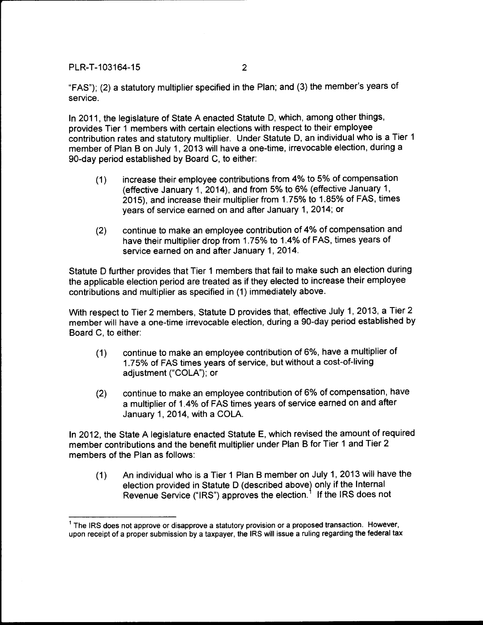"FAS"); (2) a statutory multiplier specified in the Plan; and (3) the member's years of service.

In 2011, the legislature of State A enacted Statute D, which, among other things, provides Tier 1 members with certain elections with respect to their employee contribution rates and statutory multiplier. Under Statute D, an individual who is a Tier 1 member of Plan B on July 1, 2013 will have a one-time, irrevocable election, during a 90-day period established by Board C, to either:

- (1) increase their employee contributions from 4% to 5% of compensation (effective January 1, 2014), and from 5% to 6% (effective January 1, 2015), and increase their multiplier from 1. 75% to 1.85% of FAS, times years of service earned on and after January 1, 2014; or
- (2) continue to make an employee contribution of 4% of compensation and have their multiplier drop from 1.75% to 1.4% of FAS, times years of service earned on and after January 1, 2014.

Statute D further provides that Tier 1 members that fail to make such an election during the applicable election period are treated as if they elected to increase their employee contributions and multiplier as specified in (1) immediately above.

With respect to Tier 2 members, Statute D provides that, effective July 1, 2013, a Tier 2 member will have a one-time irrevocable election, during a 90-day period established by Board C, to either:

- (1) continue to make an employee contribution of 6%, have a multiplier of 1.75% of FAS times years of service, but without a cost-of-living adjustment ("COLA"); or
- (2) continue to make an employee contribution of 6% of compensation, have a multiplier of 1.4% of FAS times years of service earned on and after January 1, 2014, with a COLA

In 2012, the State A legislature enacted Statute E, which revised the amount of required member contributions and the benefit multiplier under Plan B for Tier 1 and Tier 2 members of the Plan as follows:

(1) An individual who is a Tier 1 Plan B member on July 1, 2013 will have the election provided in Statute D (described above) only if the Internal Revenue Service ("IRS") approves the election.<sup>1</sup> If the IRS does not

 $<sup>1</sup>$  The IRS does not approve or disapprove a statutory provision or a proposed transaction. However,</sup> upon receipt of a proper submission by a taxpayer, the IRS will issue a ruling regarding the federal tax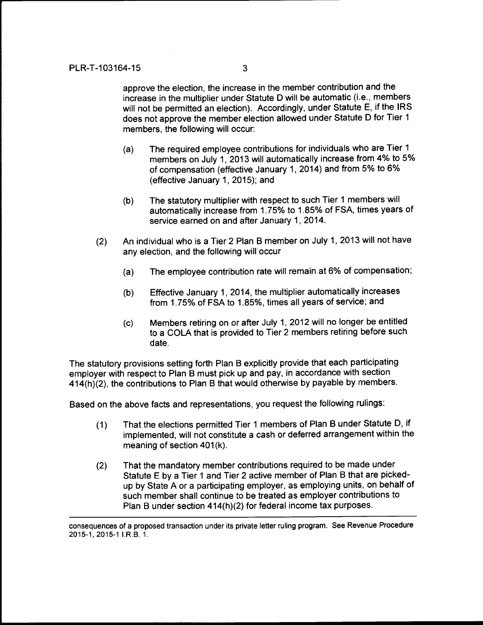approve the election, the increase in the member contribution and the increase in the multiplier under Statute D will be automatic (i.e., members will not be permitted an election). Accordingly, under Statute E, if the IRS does not approve the member election allowed under Statute D for Tier 1 members, the following will occur:

- (a) The required employee contributions for individuals who are Tier 1 members on July 1, 2013 will automatically increase from 4% to 5% of compensation (effective January 1, 2014) and from 5% to 6% (effective January 1, 2015); and
- (b) The statutory multiplier with respect to such Tier 1 members will automatically increase from 1. 75% to 1.85% of FSA, times years of service earned on and after January 1, 2014.
- (2) An individual who is a Tier 2 Plan B member on July 1, 2013 will not have any election, and the following will occur
	- (a) The employee contribution rate will remain at 6% of compensation;
	- (b) Effective January 1, 2014, the multiplier automatically increases from 1. 75% of FSA to 1.85%, times all years of service; and
	- (c) Members retiring on or after July 1, 2012 will no longer be entitled to a COLA that is provided to Tier 2 members retiring before such date.

The statutory provisions setting forth Plan B explicitly provide that each participating employer with respect to Plan B must pick up and pay, in accordance with section 414(h)(2), the contributions to Plan B that would otherwise by payable by members.

Based on the above facts and representations, you request the following rulings:

- (1) That the elections permitted Tier 1 members of Plan B under Statute D, if implemented, will not constitute a cash or deferred arrangement within the meaning of section  $401(k)$ .
- (2) That the mandatory member contributions required to be made under Statute E by a Tier 1 and Tier 2 active member of Plan B that are pickedup by State A or a participating employer, as employing units, on behalf of such member shall continue to be treated as employer contributions to Plan B under section 414(h)(2) for federal income tax purposes.

consequences of a proposed transaction under its private letter ruling program. See Revenue Procedure 2015-1,2015-1 I.R.S. 1.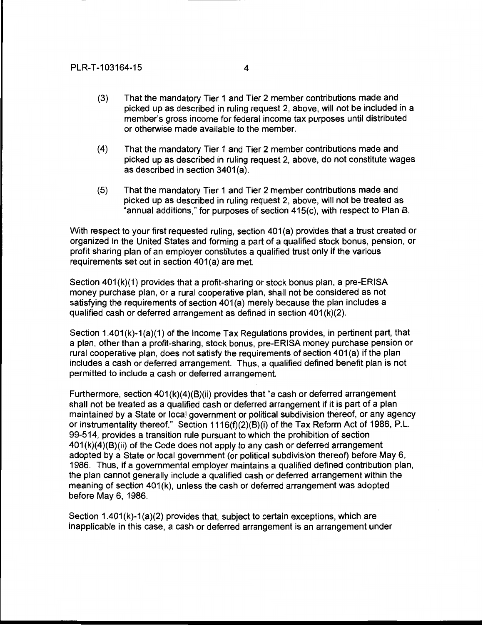- (3) That the mandatory Tier 1 and Tier 2 member contributions made and picked up as described in ruling request 2, above, will not be included in a member's gross income for federal income tax purposes until distributed or otherwise made available to the member.
- (4) That the mandatory Tier 1 and Tier 2 member contributions made and picked up as described in ruling request 2, above, do not constitute wages as described in section 3401(a).
- (5) That the mandatory Tier 1 and Tier 2 member contributions made and picked up as described in ruling request 2, above, will not be treated as "annual additions," for purposes of section 415(c), with respect to Plan B.

With respect to your first requested ruling, section 401(a) provides that a trust created or organized in the United States and forming a part of a qualified stock bonus, pension, or profit sharing plan of an employer constitutes a qualified trust only if the various requirements set out in section 401(a) are met.

Section  $401(k)(1)$  provides that a profit-sharing or stock bonus plan, a pre-ERISA money purchase plan, or a rural cooperative plan, shall not be considered as not satisfying the requirements of section 401(a) merely because the plan includes a qualified cash or deferred arrangement as defined in section  $401(k)(2)$ .

Section 1.401(k)-1(a)(1) of the Income Tax Regulations provides, in pertinent part, that a plan, other than a profit-sharing, stock bonus, pre-ERISA money purchase pension or rural cooperative plan, does not satisfy the requirements of section 401(a) if the plan includes a cash or deferred arrangement. Thus, a qualified defined benefit plan is not permitted to include a cash or deferred arrangement.

Furthermore, section  $401(k)(4)(B)(ii)$  provides that "a cash or deferred arrangement shall not be treated as a qualified cash or deferred arrangement if it is part of a plan maintained by a State or local government or political subdivision thereof, or any agency or instrumentality thereof." Section 1116(f)(2)(B)(i) of the Tax Reform Act of 1986, P.L. 99-514, provides a transition rule pursuant to which the prohibition of section  $401(k)(4)(B)(ii)$  of the Code does not apply to any cash or deferred arrangement adopted by a State or local government (or political subdivision thereof) before May 6, 1986. Thus, if a governmental employer maintains a qualified defined contribution plan, the plan cannot generally include a qualified cash or deferred arrangement within the meaning of section 401(k), unless the cash or deferred arrangement was adopted before May 6, 1986.

Section  $1.401(k)-1(a)(2)$  provides that, subject to certain exceptions, which are inapplicable in this case, a cash or deferred arrangement is an arrangement under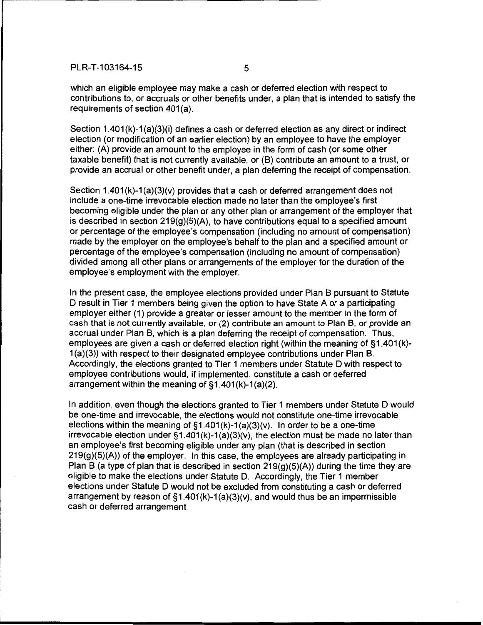which an eligible employee may make a cash or deferred election with respect to contributions to, or accruals or other benefits under, a plan that is intended to satisfy the requirements of section 401(a).

Section 1.401(k)-1(a)(3)(i) defines a cash or deferred election as any direct or indirect election (or modification of an earlier election) by an employee to have the employer either: (A) provide an amount to the employee in the form of cash (or some other taxable benefit) that is not currently available, or (B) contribute an amount to a trust, or provide an accrual or other benefit under, a plan deferring the receipt of compensation.

Section  $1.401(k)-1(a)(3)(v)$  provides that a cash or deferred arrangement does not include a one-time irrevocable election made no later than the employee's first becoming eligible under the plan or any other plan or arrangement of the employer that is described in section  $219(g)(5)(A)$ , to have contributions equal to a specified amount or percentage of the employee's compensation (including no amount of compensation) made by the employer on the employee's behalf to the plan and a specified amount or percentage of the employee's compensation (including no amount of compensation) divided among all other plans or arrangements of the employer for the duration of the employee's employment with the employer.

In the present case, the employee elections provided under Plan B pursuant to Statute D result in Tier 1 members being given the option to have State A or a participating employer either (1) provide a greater or lesser amount to the member in the form of cash that is not currently available, or (2) contribute an amount to Plan B, or provide an accrual under Plan B, which is a plan deferring the receipt of compensation. Thus, employees are given a cash or deferred election right (within the meaning of §1.401(k)-1 (a)(3)) with respect to their designated employee contributions under Plan B. Accordingly, the elections granted to Tier 1 members under Statute D with respect to employee contributions would, if implemented, constitute a cash or deferred arrangement within the meaning of  $\S1.401(k)-1(a)(2)$ .

In addition, even though the elections granted to Tier 1 members under Statute D would be one-time and irrevocable, the elections would not constitute one-time irrevocable elections within the meaning of  $\S1.401(k)-1(a)(3)(v)$ . In order to be a one-time irrevocable election under  $\S1.401(k)-1(a)(3)(v)$ , the election must be made no later than an employee's first becoming eligible under any plan (that is described in section 219(g)(5)(A)) of the employer. In this case, the employees are already participating in Plan B (a type of plan that is described in section  $219(q)(5)(A)$ ) during the time they are eligible to make the elections under Statute D. Accordingly, the Tier 1 member elections under Statute D would not be excluded from constituting a cash or deferred arrangement by reason of  $\S1.401(k)-1(a)(3)(v)$ , and would thus be an impermissible cash or deferred arrangement.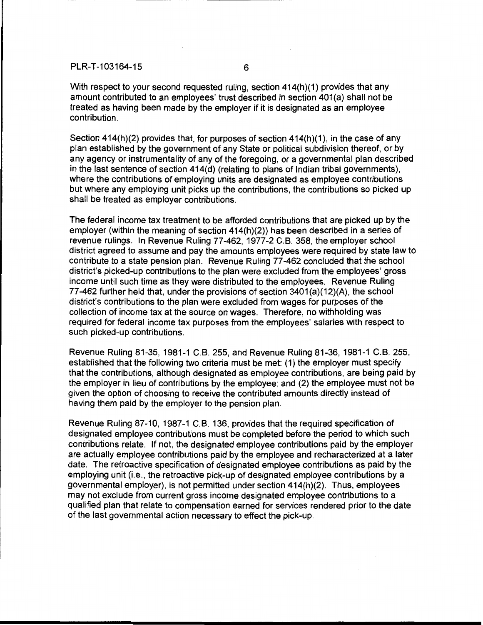With respect to your second requested ruling, section 414(h)(1) provides that any amount contributed to an employees' trust described in section 401(a) shall not be treated as having been made by the employer if it is designated as an employee contribution.

Section  $414(h)(2)$  provides that, for purposes of section  $414(h)(1)$ , in the case of any plan established by the government of any State or political subdivision thereof, or by any agency or instrumentality of any of the foregoing, or a governmental plan described in the last sentence of section 414(d) (relating to plans of Indian tribal governments), where the contributions of employing units are designated as employee contributions but where any employing unit picks up the contributions, the contributions so picked up shall be treated as employer contributions.

The federal income tax treatment to be afforded contributions that are picked up by the employer (within the meaning of section 414(h)(2)) has been described in a series of revenue rulings. In Revenue Ruling 77-462, 1977-2 C. B. 358, the employer school district agreed to assume and pay the amounts employees were required by state law to contribute to a state pension plan. Revenue Ruling 77-462 concluded that the school district's picked-up contributions to the plan were excluded from the employees' gross income until such time as they were distributed to the employees. Revenue Ruling 77-462 further held that, under the provisions of section 3401(a)(12)(A), the school district's contributions to the plan were excluded from wages for purposes of the collection of income tax at the source on wages. Therefore, no withholding was required for federal income tax purposes from the employees' salaries with respect to such picked-up contributions.

Revenue Ruling 81-35, 1981-1 C.B. 255, and Revenue Ruling 81-36, 1981-1 C.B. 255, established that the following two criteria must be met: (1) the employer must specify that the contributions, although designated as employee contributions, are being paid by the employer in lieu of contributions by the employee; and (2) the employee must not be given the option of choosing to receive the contributed amounts directly instead of having them paid by the employer to the pension plan.

Revenue Ruling 87-10, 1987-1 C. B. 136, provides that the required specification of designated employee contributions must be completed before the period to which such contributions relate. If not, the designated employee contributions paid by the employer are actually employee contributions paid by the employee and recharacterized at a later date. The retroactive specification of designated employee contributions as paid by the employing unit (i.e., the retroactive pick-up of designated employee contributions by a governmental employer), is not permitted under section 414(h)(2). Thus, employees may not exclude from current gross income designated employee contributions to a qualified plan that relate to compensation earned for services rendered prior to the date of the last governmental action necessary to effect the pick-up.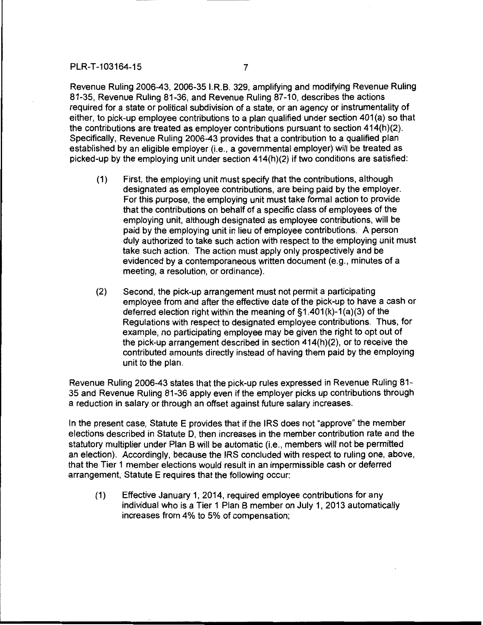Revenue Ruling 2006-43, 2006-35 I.R.B. 329, amplifying and modifying Revenue Ruling 81-35, Revenue Ruling 81-36, and Revenue Ruling 87-10, describes the actions required for a state or political subdivision of a state, or an agency or instrumentality of either, to pick-up employee contributions to a plan qualified under section 401(a) so that the contributions are treated as employer contributions pursuant to section 414(h)(2). Specifically, Revenue Ruling 2006-43 provides that a contribution to a qualified plan established by an eligible employer (i.e., a governmental employer) will be treated as picked-up by the employing unit under section 414(h)(2) if two conditions are satisfied:

- (1) First, the employing unit must specify that the contributions, although designated as employee contributions, are being paid by the employer. For this purpose, the employing unit must take formal action to provide that the contributions on behalf of a specific class of employees of the employing unit, although designated as employee contributions, will be paid by the employing unit in lieu of employee contributions. A person duly authorized to take such action with respect to the employing unit must take such action. The action must apply only prospectively and be evidenced by a contemporaneous written document (e.g., minutes of a meeting, a resolution, or ordinance).
- (2) Second, the pick-up arrangement must not permit a participating employee from and after the effective date of the pick-up to have a cash or deferred election right within the meaning of  $\S1.401(k)-1(a)(3)$  of the Regulations with respect to designated employee contributions. Thus, for example, no participating employee may be given the right to opt out of the pick-up arrangement described in section 414(h)(2), or to receive the contributed amounts directly instead of having them paid by the employing unit to the plan.

Revenue Ruling 2006-43 states that the pick-up rules expressed in Revenue Ruling 81- 35 and Revenue Ruling 81-36 apply even if the employer picks up contributions through a reduction in salary or through an offset against future salary increases.

In the present case, Statute E provides that if the IRS does not "approve" the member elections described in Statute D, then increases in the member contribution rate and the statutory multiplier under Plan B will be automatic (i.e., members will not be permitted an election). Accordingly, because the IRS concluded with respect to ruling one, above, that the Tier 1 member elections would result in an impermissible cash or deferred arrangement, Statute E requires that the following occur:

(1) Effective January 1, 2014, required employee contributions for any individual who is a Tier 1 Plan B member on July 1, 2013 automatically increases from 4% to 5% of compensation;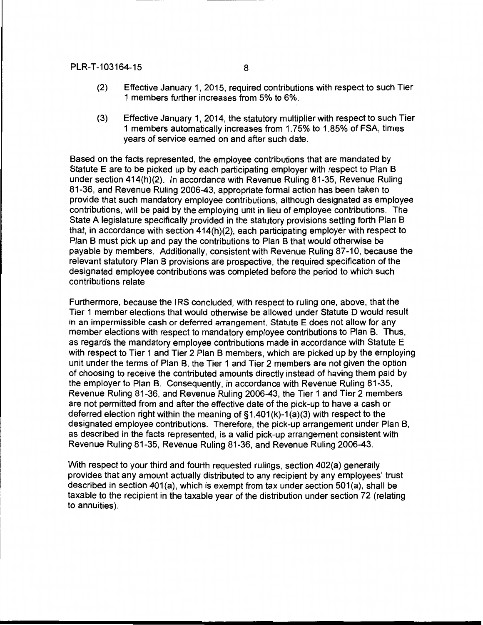- (2) Effective January 1, 2015, required contributions with respect to such Tier 1 members further increases from 5% to 6%.
- (3) Effective January 1, 2014, the statutory multiplier with respect to such Tier 1 members automatically increases from 1. 75% to 1.85% of FSA, times years of service earned on and after such date.

Based on the facts represented, the employee contributions that are mandated by Statute E are to be picked up by each participating employer with respect to Plan B under section 414(h)(2). In accordance with Revenue Ruling 81-35, Revenue Ruling 81-36, and Revenue Ruling 2006-43, appropriate formal action has been taken to provide that such mandatory employee contributions, although designated as employee contributions, will be paid by the employing unit in lieu of employee contributions. The State A legislature specifically provided in the statutory provisions setting forth Plan B that, in accordance with section 414(h)(2), each participating employer with respect to Plan B must pick up and pay the contributions to Plan B that would otherwise be payable by members. Additionally, consistent with Revenue Ruling 87-10, because the relevant statutory Plan B provisions are prospective, the required specification of the designated employee contributions was completed before the period to which such contributions relate.

Furthermore, because the IRS concluded, with respect to ruling one, above, that the Tier 1 member elections that would otherwise be allowed under Statute D would result in an impermissible cash or deferred arrangement, Statute E does not allow for any member elections with respect to mandatory employee contributions to Plan B. Thus, as regards the mandatory employee contributions made in accordance with Statute E with respect to Tier 1 and Tier 2 Plan B members, which are picked up by the employing unit under the terms of Plan B, the Tier 1 and Tier 2 members are not given the option of choosing to receive the contributed amounts directly instead of having them paid by the employer to Plan B. Consequently, in accordance with Revenue Ruling 81-35, Revenue Ruling 81-36, and Revenue Ruling 2006-43, the Tier 1 and Tier 2 members are not permitted from and after the effective date of the pick-up to have a cash or deferred election right within the meaning of §1.401 (k)-1 (a)(3) with respect to the designated employee contributions. Therefore, the pick-up arrangement under Plan B, as described in the facts represented, is a valid pick-up arrangement consistent with Revenue Ruling 81-35, Revenue Ruling 81-36, and Revenue Ruling 2006-43.

With respect to your third and fourth requested rulings, section 402(a) generally provides that any amount actually distributed to any recipient by any employees' trust described in section 401(a), which is exempt from tax under section  $501(a)$ , shall be taxable to the recipient in the taxable year of the distribution under section 72 (relating to annuities).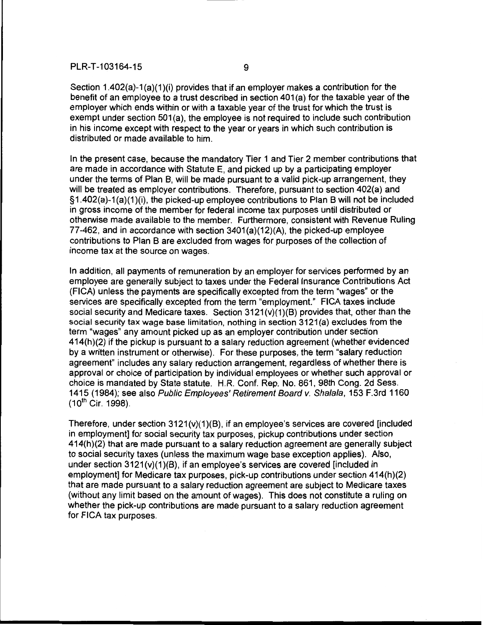Section 1.402(a)-1(a)(1)(i) provides that if an employer makes a contribution for the benefit of an employee to a trust described in section 401 (a) for the taxable year of the employer which ends within or with a taxable year of the trust for which the trust is exempt under section 501(a), the employee is not required to include such contribution in his income except with respect to the year or years in which such contribution is distributed or made available to him.

In the present case, because the mandatory Tier 1 and Tier 2 member contributions that are made in accordance with Statute E, and picked up by a participating employer under the terms of Plan B, will be made pursuant to a valid pick-up arrangement, they will be treated as employer contributions. Therefore, pursuant to section 402(a) and §1.402(a)-1(a)(1)(i), the picked-up employee contributions to Plan B will not be included in gross income of the member for federal income tax purposes until distributed or otherwise made available to the member. Furthermore, consistent with Revenue Ruling 77-462, and in accordance with section 3401(a)(12)(A), the picked-up employee contributions to Plan B are excluded from wages for purposes of the collection of income tax at the source on wages.

In addition, all payments of remuneration by an employer for services performed by an employee are generally subject to taxes under the Federal Insurance Contributions Act (FICA) unless the payments are specifically excepted from the term "wages" or the services are specifically excepted from the term "employment." FICA taxes include social security and Medicare taxes. Section  $3121(v)(1)(B)$  provides that, other than the social security tax wage base limitation, nothing in section 3121(a) excludes from the term "wages" any amount picked up as an employer contribution under section 414(h)(2) if the pickup is pursuant to a salary reduction agreement (whether evidenced by a written instrument or otherwise). For these purposes, the term "salary reduction agreement" includes any salary reduction arrangement, regardless of whether there is approval or choice of participation by individual employees or whether such approval or choice is mandated by State statute. H.R. Conf. Rep. No. 861, 98th Cong. 2d Sess. 1415 (1984); see also Public Employees' Retirement Board v. Shalala, 153 F.3rd 1160  $(10^{th}$  Cir. 1998).

Therefore, under section 3121(v)(1)(B), if an employee's services are covered [included in employment] for social security tax purposes, pickup contributions under section 414(h)(2) that are made pursuant to a salary reduction agreement are generally subject to social security taxes (unless the maximum wage base exception applies). Also, under section 3121(v)(1)(B), if an employee's services are covered [included in employment] for Medicare tax purposes, pick-up contributions under section 414(h)(2) that are made pursuant to a salary reduction agreement are subject to Medicare taxes (without any limit based on the amount of wages). This does not constitute a ruling on whether the pick-up contributions are made pursuant to a salary reduction agreement for FICA tax purposes.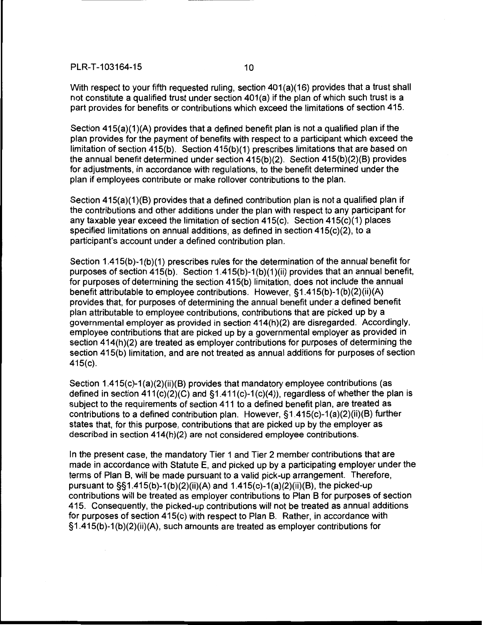With respect to your fifth requested ruling, section 401(a)(16) provides that a trust shall not constitute a qualified trust under section  $401(a)$  if the plan of which such trust is a part provides for benefits or contributions which exceed the limitations of section 415.

Section  $415(a)(1)(A)$  provides that a defined benefit plan is not a qualified plan if the plan provides for the payment of benefits with respect to a participant which exceed the limitation of section 415(b). Section 415(b)(1) prescribes limitations that are based on the annual benefit determined under section 415(b)(2). Section 415(b)(2)(B) provides for adjustments, in accordance with regulations, to the benefit determined under the plan if employees contribute or make rollover contributions to the plan.

Section 415(a)(1)(B) provides that a defined contribution plan is not a qualified plan if the contributions and other additions under the plan with respect to any participant for any taxable year exceed the limitation of section 415(c). Section 415(c)(1) places specified limitations on annual additions, as defined in section 415(c)(2), to a participant's account under a defined contribution plan.

Section  $1.415(b)-1(b)(1)$  prescribes rules for the determination of the annual benefit for purposes of section 415(b). Section 1.415(b)-1 (b)(1 )(ii) provides that an annual benefit, for purposes of determining the section 415(b) limitation, does not include the annual benefit attributable to employee contributions. However, §1.415(b)-1 (b)(2)(ii)(A) provides that, for purposes of determining the annual benefit under a defined benefit plan attributable to employee contributions, contributions that are picked up by a governmental employer as provided in section 414(h)(2) are disregarded. Accordingly, employee contributions that are picked up by a governmental employer as provided in section 414(h)(2) are treated as employer contributions for purposes of determining the section 415(b) limitation, and are not treated as annual additions for purposes of section 415(c).

Section 1.415(c)-1 (a)(2)(ii)(B) provides that mandatory employee contributions (as defined in section  $411(c)(2)(C)$  and  $§1.411(c)-1(c)(4)$ , regardless of whether the plan is subject to the requirements of section 411 to a defined benefit plan, are treated as contributions to a defined contribution plan. However, §1.415(c)-1(a)(2)(ii)(B) further states that, for this purpose, contributions that are picked up by the employer as described in section 414(h)(2) are not considered employee contributions.

In the present case, the mandatory Tier 1 and Tier 2 member contributions that are made in accordance with Statute E, and picked up by a participating employer under the terms of Plan B, will be made pursuant to a valid pick-up arrangement. Therefore, pursuant to  $\S$ §1.415(b)-1(b)(2)(ii)(A) and 1.415(c)-1(a)(2)(ii)(B), the picked-up contributions will be treated as employer contributions to Plan B for purposes of section 415. Consequently, the picked-up contributions will not be treated as annual additions for purposes of section 415(c) with respect to Plan B. Rather, in accordance with  $§1.415(b)-1(b)(2)(ii)(A)$ , such amounts are treated as employer contributions for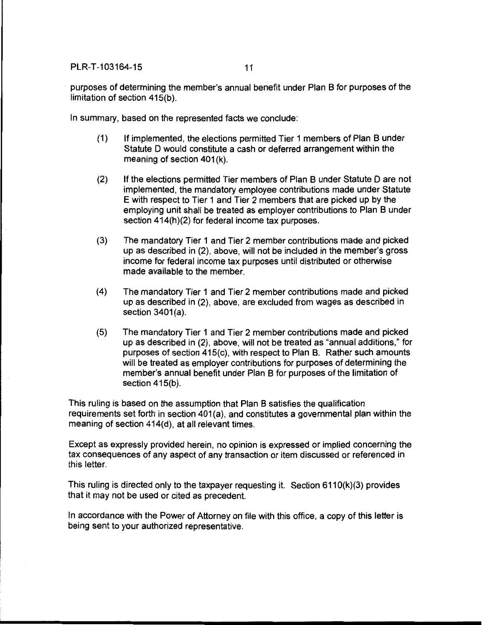purposes of determining the member's annual benefit under Plan B for purposes of the limitation of section 415(b).

In summary, based on the represented facts we conclude:

- (1) If implemented, the elections permitted Tier 1 members of Plan B under Statute 0 would constitute a cash or deferred arrangement within the meaning of section 401(k).
- (2) If the elections permitted Tier members of Plan B under Statute 0 are not implemented, the mandatory employee contributions made under Statute E with respect to Tier 1 and Tier 2 members that are picked up by the employing unit shall be treated as employer contributions to Plan B under section 414(h)(2) for federal income tax purposes.
- (3) The mandatory Tier 1 and Tier 2 member contributions made and picked up as described in (2), above, will not be included in the member's gross income for federal income tax purposes until distributed or otherwise made available to the member.
- (4) The mandatory Tier 1 and Tier 2 member contributions made and picked up as described in (2), above, are excluded from wages as described in section  $3401(a)$ .
- (5) The mandatory Tier 1 and Tier 2 member contributions made and picked up as described in (2), above, will not be treated as "annual additions," for purposes of section 415(c), with respect to Plan B. Rather such amounts will be treated as employer contributions for purposes of determining the member's annual benefit under Plan B for purposes of the limitation of section 415(b).

This ruling is based on the assumption that Plan B satisfies the qualification requirements set forth in section 401(a), and constitutes a governmental plan within the meaning of section 414(d), at all relevant times.

Except as expressly provided herein, no opinion is expressed or implied concerning the tax consequences of any aspect of any transaction or item discussed or referenced in this letter.

This ruling is directed only to the taxpayer requesting it. Section 6110(k)(3) provides that it may not be used or cited as precedent.

In accordance with the Power of Attorney on file with this office, a copy of this letter is being sent to your authorized representative.